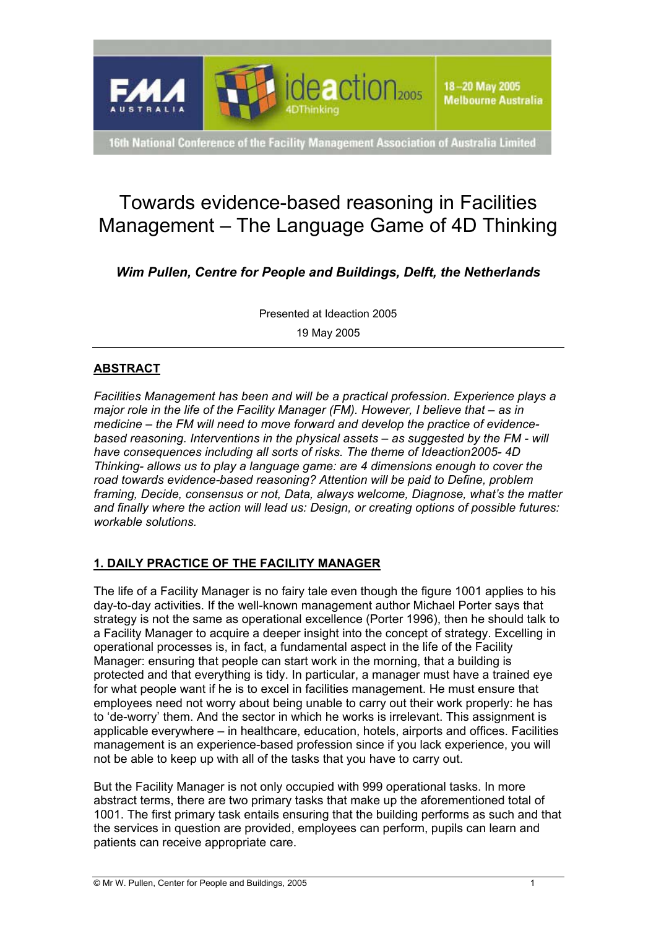

16th National Conference of the Facility Management Association of Australia Limited

# Towards evidence-based reasoning in Facilities Management – The Language Game of 4D Thinking

*Wim Pullen, Centre for People and Buildings, Delft, the Netherlands* 

Presented at Ideaction 2005

19 May 2005

# **ABSTRACT**

*Facilities Management has been and will be a practical profession. Experience plays a major role in the life of the Facility Manager (FM). However, I believe that – as in* medicine – the FM will need to move forward and develop the practice of evidencebased reasoning. Interventions in the physical assets – as suggested by the FM - will *have consequences including all sorts of risks. The theme of Ideaction2005- 4D Thinking- allows us to play a language game: are 4 dimensions enough to cover the road towards evidence-based reasoning? Attention will be paid to Define, problem framing, Decide, consensus or not, Data, always welcome, Diagnose, whatís the matter and finally where the action will lead us: Design, or creating options of possible futures: workable solutions.* 

# **1. DAILY PRACTICE OF THE FACILITY MANAGER**

The life of a Facility Manager is no fairy tale even though the figure 1001 applies to his day-to-day activities. If the well-known management author Michael Porter says that strategy is not the same as operational excellence (Porter 1996), then he should talk to a Facility Manager to acquire a deeper insight into the concept of strategy. Excelling in operational processes is, in fact, a fundamental aspect in the life of the Facility Manager: ensuring that people can start work in the morning, that a building is protected and that everything is tidy. In particular, a manager must have a trained eye for what people want if he is to excel in facilities management. He must ensure that employees need not worry about being unable to carry out their work properly: he has to 'de-worry' them. And the sector in which he works is irrelevant. This assignment is applicable everywhere – in healthcare, education, hotels, airports and offices. Facilities management is an experience-based profession since if you lack experience, you will not be able to keep up with all of the tasks that you have to carry out.

But the Facility Manager is not only occupied with 999 operational tasks. In more abstract terms, there are two primary tasks that make up the aforementioned total of 1001. The first primary task entails ensuring that the building performs as such and that the services in question are provided, employees can perform, pupils can learn and patients can receive appropriate care.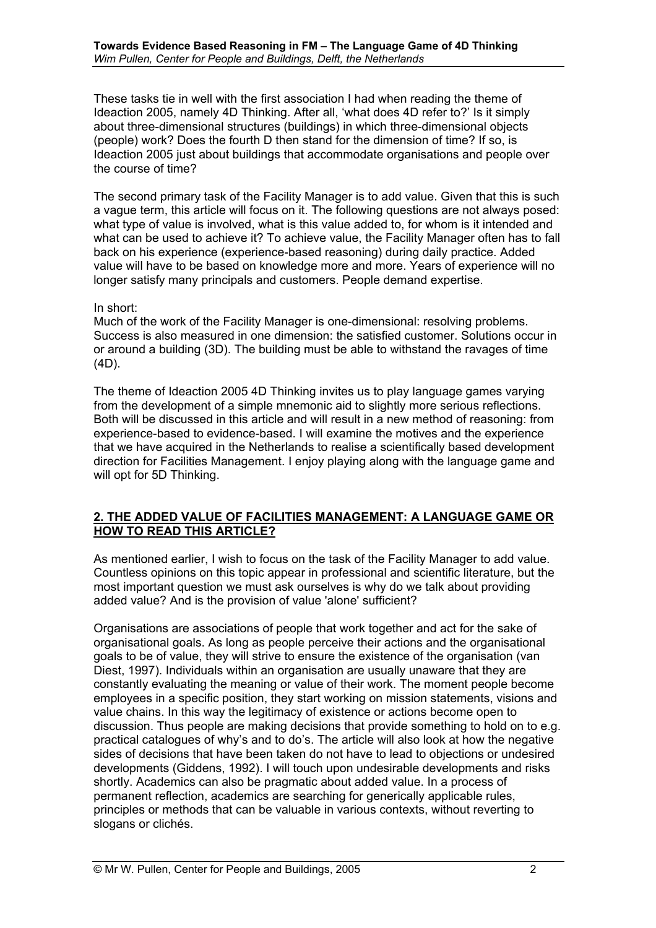These tasks tie in well with the first association I had when reading the theme of Ideaction 2005, namely 4D Thinking. After all, 'what does 4D refer to?' Is it simply about three-dimensional structures (buildings) in which three-dimensional objects (people) work? Does the fourth D then stand for the dimension of time? If so, is Ideaction 2005 just about buildings that accommodate organisations and people over the course of time?

The second primary task of the Facility Manager is to add value. Given that this is such a vague term, this article will focus on it. The following questions are not always posed: what type of value is involved, what is this value added to, for whom is it intended and what can be used to achieve it? To achieve value, the Facility Manager often has to fall back on his experience (experience-based reasoning) during daily practice. Added value will have to be based on knowledge more and more. Years of experience will no longer satisfy many principals and customers. People demand expertise.

#### In short:

Much of the work of the Facility Manager is one-dimensional: resolving problems. Success is also measured in one dimension: the satisfied customer. Solutions occur in or around a building (3D). The building must be able to withstand the ravages of time (4D).

The theme of Ideaction 2005 4D Thinking invites us to play language games varying from the development of a simple mnemonic aid to slightly more serious reflections. Both will be discussed in this article and will result in a new method of reasoning: from experience-based to evidence-based. I will examine the motives and the experience that we have acquired in the Netherlands to realise a scientifically based development direction for Facilities Management. I enjoy playing along with the language game and will opt for 5D Thinking.

#### **2. THE ADDED VALUE OF FACILITIES MANAGEMENT: A LANGUAGE GAME OR HOW TO READ THIS ARTICLE?**

As mentioned earlier, I wish to focus on the task of the Facility Manager to add value. Countless opinions on this topic appear in professional and scientific literature, but the most important question we must ask ourselves is why do we talk about providing added value? And is the provision of value 'alone' sufficient?

Organisations are associations of people that work together and act for the sake of organisational goals. As long as people perceive their actions and the organisational goals to be of value, they will strive to ensure the existence of the organisation (van Diest, 1997). Individuals within an organisation are usually unaware that they are constantly evaluating the meaning or value of their work. The moment people become employees in a specific position, they start working on mission statements, visions and value chains. In this way the legitimacy of existence or actions become open to discussion. Thus people are making decisions that provide something to hold on to e.g. practical catalogues of why's and to do's. The article will also look at how the negative sides of decisions that have been taken do not have to lead to objections or undesired developments (Giddens, 1992). I will touch upon undesirable developments and risks shortly. Academics can also be pragmatic about added value. In a process of permanent reflection, academics are searching for generically applicable rules, principles or methods that can be valuable in various contexts, without reverting to slogans or clichés.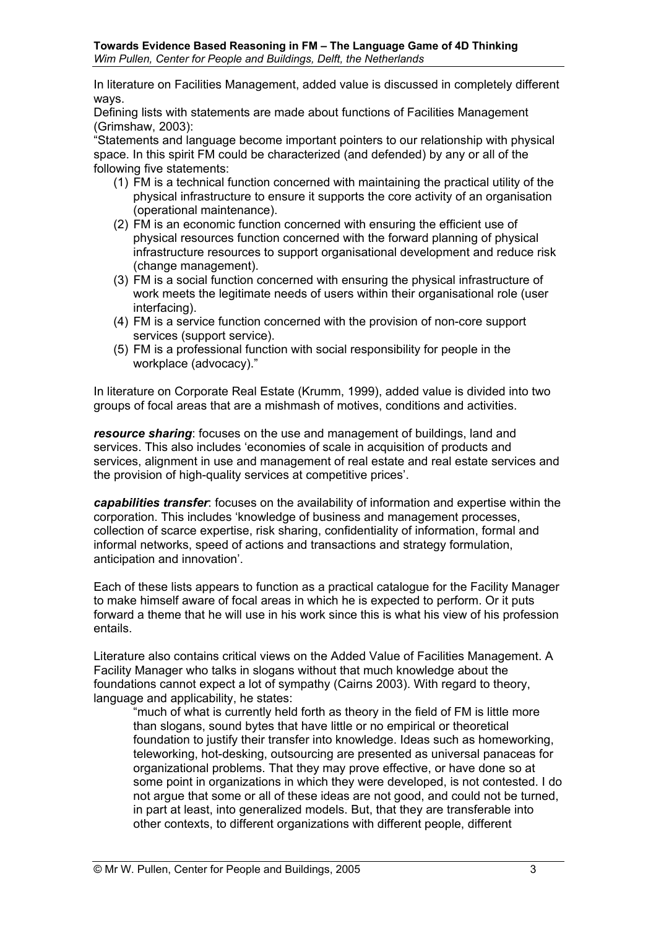In literature on Facilities Management, added value is discussed in completely different ways.

Defining lists with statements are made about functions of Facilities Management (Grimshaw, 2003):

ìStatements and language become important pointers to our relationship with physical space. In this spirit FM could be characterized (and defended) by any or all of the following five statements:

- (1) FM is a technical function concerned with maintaining the practical utility of the physical infrastructure to ensure it supports the core activity of an organisation (operational maintenance).
- (2) FM is an economic function concerned with ensuring the efficient use of physical resources function concerned with the forward planning of physical infrastructure resources to support organisational development and reduce risk (change management).
- (3) FM is a social function concerned with ensuring the physical infrastructure of work meets the legitimate needs of users within their organisational role (user interfacing).
- (4) FM is a service function concerned with the provision of non-core support services (support service).
- (5) FM is a professional function with social responsibility for people in the workplace (advocacy)."

In literature on Corporate Real Estate (Krumm, 1999), added value is divided into two groups of focal areas that are a mishmash of motives, conditions and activities.

*resource sharing*: focuses on the use and management of buildings, land and services. This also includes 'economies of scale in acquisition of products and services, alignment in use and management of real estate and real estate services and the provision of high-quality services at competitive prices'.

*capabilities transfer*: focuses on the availability of information and expertise within the corporation. This includes ëknowledge of business and management processes, collection of scarce expertise, risk sharing, confidentiality of information, formal and informal networks, speed of actions and transactions and strategy formulation, anticipation and innovation'.

Each of these lists appears to function as a practical catalogue for the Facility Manager to make himself aware of focal areas in which he is expected to perform. Or it puts forward a theme that he will use in his work since this is what his view of his profession entails.

Literature also contains critical views on the Added Value of Facilities Management. A Facility Manager who talks in slogans without that much knowledge about the foundations cannot expect a lot of sympathy (Cairns 2003). With regard to theory, language and applicability, he states:

"much of what is currently held forth as theory in the field of FM is little more than slogans, sound bytes that have little or no empirical or theoretical foundation to justify their transfer into knowledge. Ideas such as homeworking, teleworking, hot-desking, outsourcing are presented as universal panaceas for organizational problems. That they may prove effective, or have done so at some point in organizations in which they were developed, is not contested. I do not argue that some or all of these ideas are not good, and could not be turned, in part at least, into generalized models. But, that they are transferable into other contexts, to different organizations with different people, different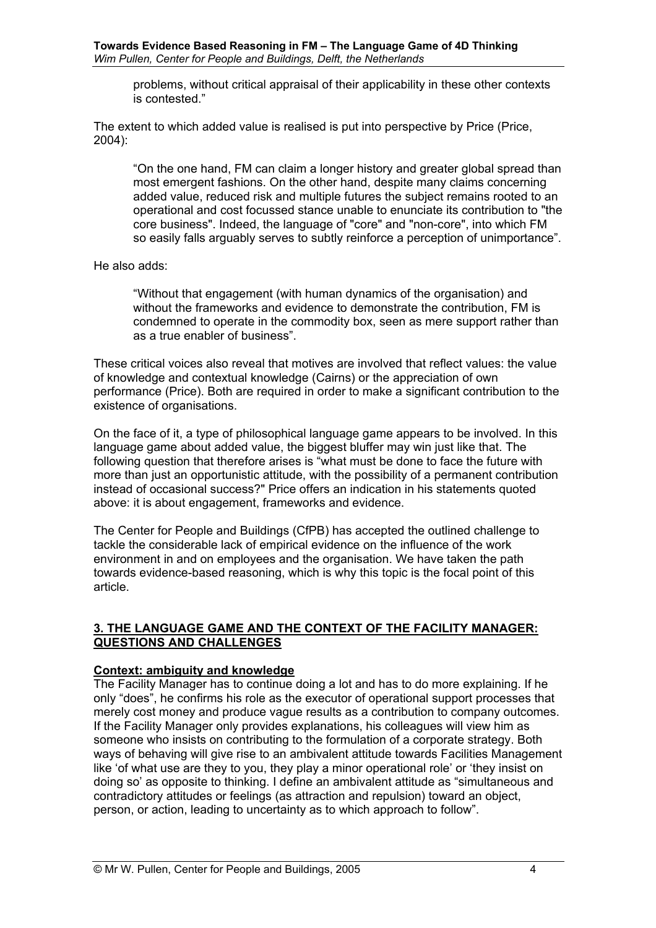problems, without critical appraisal of their applicability in these other contexts is contested."

The extent to which added value is realised is put into perspective by Price (Price, 2004):

ìOn the one hand, FM can claim a longer history and greater global spread than most emergent fashions. On the other hand, despite many claims concerning added value, reduced risk and multiple futures the subject remains rooted to an operational and cost focussed stance unable to enunciate its contribution to "the core business". Indeed, the language of "core" and "non-core", into which FM so easily falls arguably serves to subtly reinforce a perception of unimportanceî.

He also adds:

ìWithout that engagement (with human dynamics of the organisation) and without the frameworks and evidence to demonstrate the contribution, FM is condemned to operate in the commodity box, seen as mere support rather than as a true enabler of business".

These critical voices also reveal that motives are involved that reflect values: the value of knowledge and contextual knowledge (Cairns) or the appreciation of own performance (Price). Both are required in order to make a significant contribution to the existence of organisations.

On the face of it, a type of philosophical language game appears to be involved. In this language game about added value, the biggest bluffer may win just like that. The following question that therefore arises is "what must be done to face the future with more than just an opportunistic attitude, with the possibility of a permanent contribution instead of occasional success?" Price offers an indication in his statements quoted above: it is about engagement, frameworks and evidence.

The Center for People and Buildings (CfPB) has accepted the outlined challenge to tackle the considerable lack of empirical evidence on the influence of the work environment in and on employees and the organisation. We have taken the path towards evidence-based reasoning, which is why this topic is the focal point of this article.

## **3. THE LANGUAGE GAME AND THE CONTEXT OF THE FACILITY MANAGER: QUESTIONS AND CHALLENGES**

#### **Context: ambiguity and knowledge**

The Facility Manager has to continue doing a lot and has to do more explaining. If he only "does", he confirms his role as the executor of operational support processes that merely cost money and produce vague results as a contribution to company outcomes. If the Facility Manager only provides explanations, his colleagues will view him as someone who insists on contributing to the formulation of a corporate strategy. Both ways of behaving will give rise to an ambivalent attitude towards Facilities Management like 'of what use are they to you, they play a minor operational role' or 'they insist on doing so' as opposite to thinking. I define an ambivalent attitude as "simultaneous and contradictory attitudes or feelings (as attraction and repulsion) toward an object, person, or action, leading to uncertainty as to which approach to followî.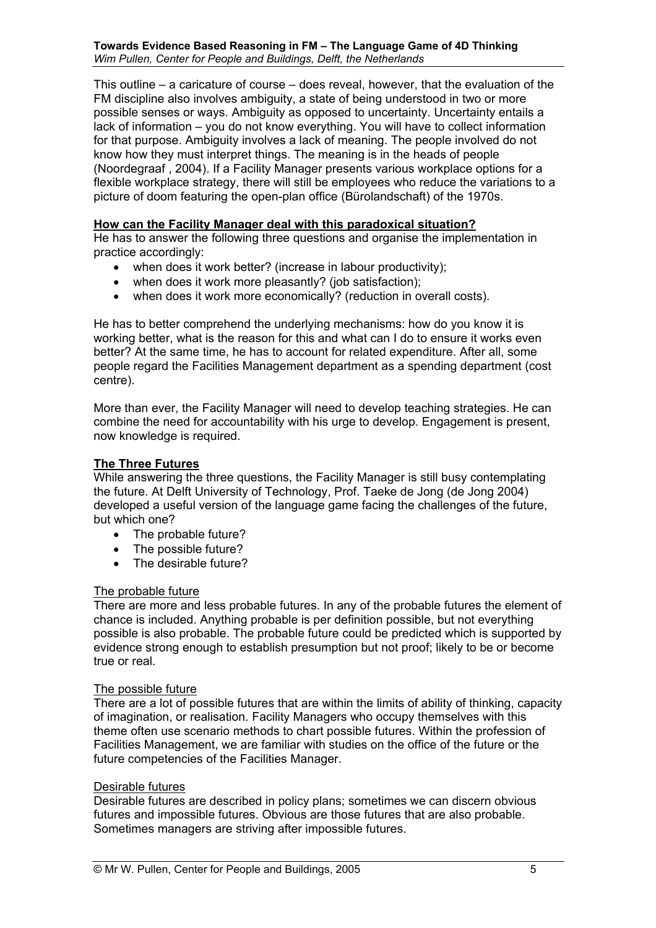This outline  $-$  a caricature of course  $-$  does reveal, however, that the evaluation of the FM discipline also involves ambiguity, a state of being understood in two or more possible senses or ways. Ambiguity as opposed to uncertainty. Uncertainty entails a lack of information – you do not know everything. You will have to collect information for that purpose. Ambiguity involves a lack of meaning. The people involved do not know how they must interpret things. The meaning is in the heads of people (Noordegraaf , 2004). If a Facility Manager presents various workplace options for a flexible workplace strategy, there will still be employees who reduce the variations to a picture of doom featuring the open-plan office (Bürolandschaft) of the 1970s.

## **How can the Facility Manager deal with this paradoxical situation?**

He has to answer the following three questions and organise the implementation in practice accordingly:

- when does it work better? (increase in labour productivity);
- when does it work more pleasantly? (job satisfaction);
- when does it work more economically? (reduction in overall costs).

He has to better comprehend the underlying mechanisms: how do you know it is working better, what is the reason for this and what can I do to ensure it works even better? At the same time, he has to account for related expenditure. After all, some people regard the Facilities Management department as a spending department (cost centre).

More than ever, the Facility Manager will need to develop teaching strategies. He can combine the need for accountability with his urge to develop. Engagement is present, now knowledge is required.

## **The Three Futures**

While answering the three questions, the Facility Manager is still busy contemplating the future. At Delft University of Technology, Prof. Taeke de Jong (de Jong 2004) developed a useful version of the language game facing the challenges of the future, but which one?

- The probable future?
- The possible future?
- The desirable future?

#### The probable future

There are more and less probable futures. In any of the probable futures the element of chance is included. Anything probable is per definition possible, but not everything possible is also probable. The probable future could be predicted which is supported by evidence strong enough to establish presumption but not proof; likely to be or become true or real.

#### The possible future

There are a lot of possible futures that are within the limits of ability of thinking, capacity of imagination, or realisation. Facility Managers who occupy themselves with this theme often use scenario methods to chart possible futures. Within the profession of Facilities Management, we are familiar with studies on the office of the future or the future competencies of the Facilities Manager.

#### Desirable futures

Desirable futures are described in policy plans; sometimes we can discern obvious futures and impossible futures. Obvious are those futures that are also probable. Sometimes managers are striving after impossible futures.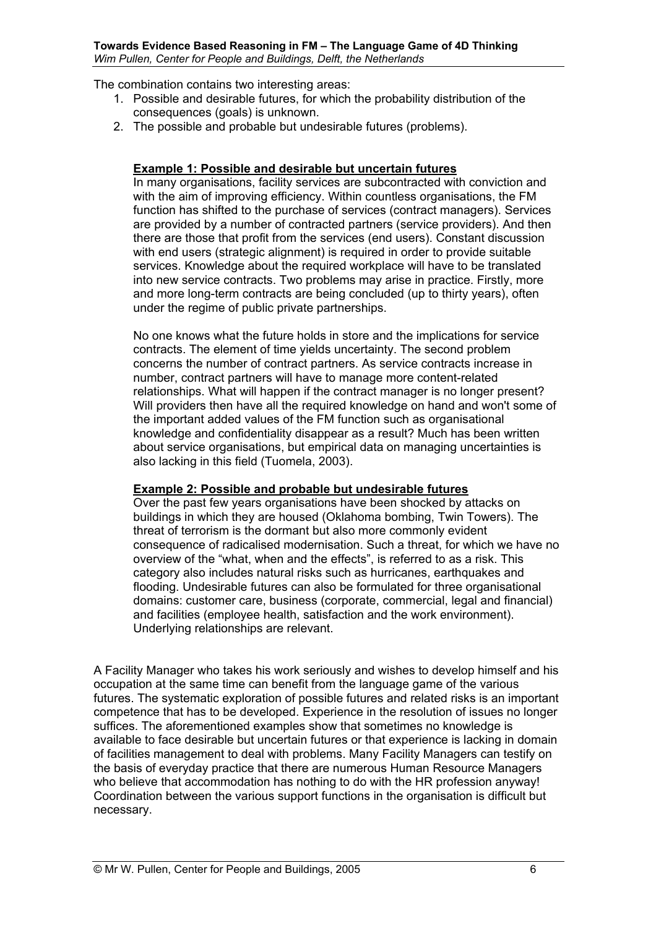The combination contains two interesting areas:

- 1. Possible and desirable futures, for which the probability distribution of the consequences (goals) is unknown.
- 2. The possible and probable but undesirable futures (problems).

#### **Example 1: Possible and desirable but uncertain futures**

In many organisations, facility services are subcontracted with conviction and with the aim of improving efficiency. Within countless organisations, the FM function has shifted to the purchase of services (contract managers). Services are provided by a number of contracted partners (service providers). And then there are those that profit from the services (end users). Constant discussion with end users (strategic alignment) is required in order to provide suitable services. Knowledge about the required workplace will have to be translated into new service contracts. Two problems may arise in practice. Firstly, more and more long-term contracts are being concluded (up to thirty years), often under the regime of public private partnerships.

No one knows what the future holds in store and the implications for service contracts. The element of time yields uncertainty. The second problem concerns the number of contract partners. As service contracts increase in number, contract partners will have to manage more content-related relationships. What will happen if the contract manager is no longer present? Will providers then have all the required knowledge on hand and won't some of the important added values of the FM function such as organisational knowledge and confidentiality disappear as a result? Much has been written about service organisations, but empirical data on managing uncertainties is also lacking in this field (Tuomela, 2003).

#### **Example 2: Possible and probable but undesirable futures**

Over the past few years organisations have been shocked by attacks on buildings in which they are housed (Oklahoma bombing, Twin Towers). The threat of terrorism is the dormant but also more commonly evident consequence of radicalised modernisation. Such a threat, for which we have no overview of the "what, when and the effects", is referred to as a risk. This category also includes natural risks such as hurricanes, earthquakes and flooding. Undesirable futures can also be formulated for three organisational domains: customer care, business (corporate, commercial, legal and financial) and facilities (employee health, satisfaction and the work environment). Underlying relationships are relevant.

A Facility Manager who takes his work seriously and wishes to develop himself and his occupation at the same time can benefit from the language game of the various futures. The systematic exploration of possible futures and related risks is an important competence that has to be developed. Experience in the resolution of issues no longer suffices. The aforementioned examples show that sometimes no knowledge is available to face desirable but uncertain futures or that experience is lacking in domain of facilities management to deal with problems. Many Facility Managers can testify on the basis of everyday practice that there are numerous Human Resource Managers who believe that accommodation has nothing to do with the HR profession anyway! Coordination between the various support functions in the organisation is difficult but necessary.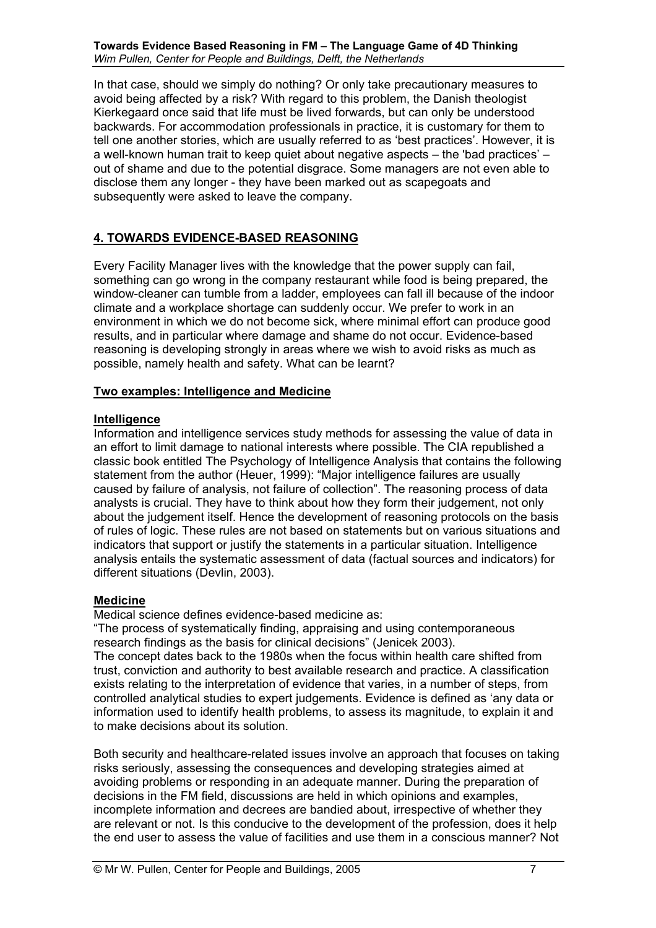In that case, should we simply do nothing? Or only take precautionary measures to avoid being affected by a risk? With regard to this problem, the Danish theologist Kierkegaard once said that life must be lived forwards, but can only be understood backwards. For accommodation professionals in practice, it is customary for them to tell one another stories, which are usually referred to as 'best practices'. However, it is a well-known human trait to keep quiet about negative aspects  $-$  the 'bad practices'  $$ out of shame and due to the potential disgrace. Some managers are not even able to disclose them any longer - they have been marked out as scapegoats and subsequently were asked to leave the company.

# **4. TOWARDS EVIDENCE-BASED REASONING**

Every Facility Manager lives with the knowledge that the power supply can fail, something can go wrong in the company restaurant while food is being prepared, the window-cleaner can tumble from a ladder, employees can fall ill because of the indoor climate and a workplace shortage can suddenly occur. We prefer to work in an environment in which we do not become sick, where minimal effort can produce good results, and in particular where damage and shame do not occur. Evidence-based reasoning is developing strongly in areas where we wish to avoid risks as much as possible, namely health and safety. What can be learnt?

## **Two examples: Intelligence and Medicine**

## **Intelligence**

Information and intelligence services study methods for assessing the value of data in an effort to limit damage to national interests where possible. The CIA republished a classic book entitled The Psychology of Intelligence Analysis that contains the following statement from the author (Heuer, 1999): "Major intelligence failures are usually caused by failure of analysis, not failure of collection". The reasoning process of data analysts is crucial. They have to think about how they form their judgement, not only about the judgement itself. Hence the development of reasoning protocols on the basis of rules of logic. These rules are not based on statements but on various situations and indicators that support or justify the statements in a particular situation. Intelligence analysis entails the systematic assessment of data (factual sources and indicators) for different situations (Devlin, 2003).

#### **Medicine**

Medical science defines evidence-based medicine as:

ìThe process of systematically finding, appraising and using contemporaneous research findings as the basis for clinical decisions" (Jenicek 2003).

The concept dates back to the 1980s when the focus within health care shifted from trust, conviction and authority to best available research and practice. A classification exists relating to the interpretation of evidence that varies, in a number of steps, from controlled analytical studies to expert judgements. Evidence is defined as 'any data or information used to identify health problems, to assess its magnitude, to explain it and to make decisions about its solution.

Both security and healthcare-related issues involve an approach that focuses on taking risks seriously, assessing the consequences and developing strategies aimed at avoiding problems or responding in an adequate manner. During the preparation of decisions in the FM field, discussions are held in which opinions and examples, incomplete information and decrees are bandied about, irrespective of whether they are relevant or not. Is this conducive to the development of the profession, does it help the end user to assess the value of facilities and use them in a conscious manner? Not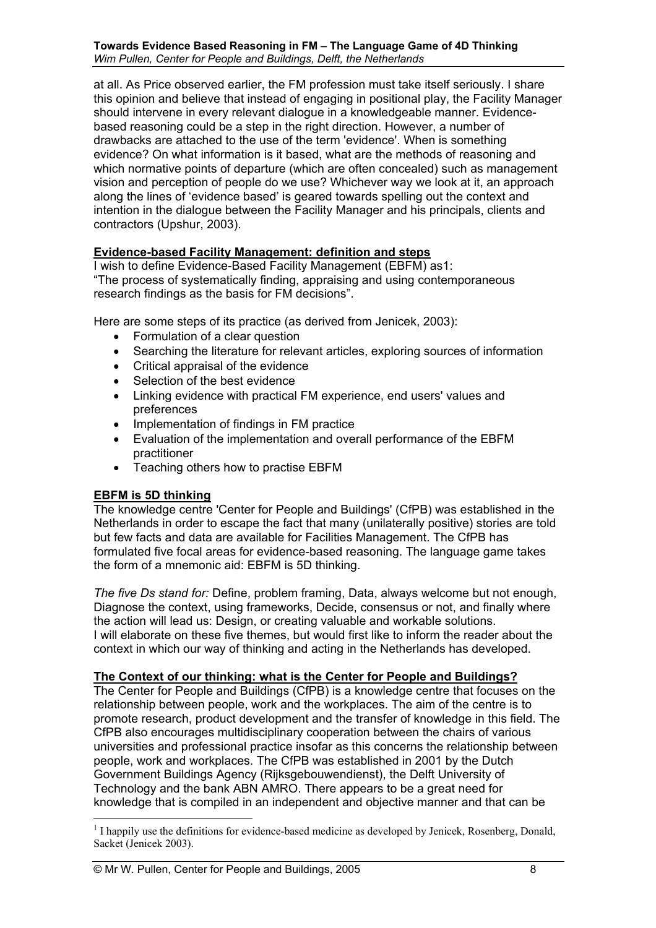at all. As Price observed earlier, the FM profession must take itself seriously. I share this opinion and believe that instead of engaging in positional play, the Facility Manager should intervene in every relevant dialogue in a knowledgeable manner. Evidencebased reasoning could be a step in the right direction. However, a number of drawbacks are attached to the use of the term 'evidence'. When is something evidence? On what information is it based, what are the methods of reasoning and which normative points of departure (which are often concealed) such as management vision and perception of people do we use? Whichever way we look at it, an approach along the lines of 'evidence based' is geared towards spelling out the context and intention in the dialogue between the Facility Manager and his principals, clients and contractors (Upshur, 2003).

# **Evidence-based Facility Management: definition and steps**

I wish to define Evidence-Based Facility Management (EBFM) as1: ìThe process of systematically finding, appraising and using contemporaneous research findings as the basis for FM decisions".

Here are some steps of its practice (as derived from Jenicek, 2003):

- Formulation of a clear question
- Searching the literature for relevant articles, exploring sources of information
- Critical appraisal of the evidence
- Selection of the best evidence
- Linking evidence with practical FM experience, end users' values and preferences
- Implementation of findings in FM practice
- Evaluation of the implementation and overall performance of the EBFM practitioner
- Teaching others how to practise EBFM

# **EBFM is 5D thinking**

The knowledge centre 'Center for People and Buildings' (CfPB) was established in the Netherlands in order to escape the fact that many (unilaterally positive) stories are told but few facts and data are available for Facilities Management. The CfPB has formulated five focal areas for evidence-based reasoning. The language game takes the form of a mnemonic aid: EBFM is 5D thinking.

*The five Ds stand for:* Define, problem framing, Data, always welcome but not enough, Diagnose the context, using frameworks, Decide, consensus or not, and finally where the action will lead us: Design, or creating valuable and workable solutions. I will elaborate on these five themes, but would first like to inform the reader about the context in which our way of thinking and acting in the Netherlands has developed.

#### **The Context of our thinking: what is the Center for People and Buildings?**

The Center for People and Buildings (CfPB) is a knowledge centre that focuses on the relationship between people, work and the workplaces. The aim of the centre is to promote research, product development and the transfer of knowledge in this field. The CfPB also encourages multidisciplinary cooperation between the chairs of various universities and professional practice insofar as this concerns the relationship between people, work and workplaces. The CfPB was established in 2001 by the Dutch Government Buildings Agency (Rijksgebouwendienst), the Delft University of Technology and the bank ABN AMRO. There appears to be a great need for knowledge that is compiled in an independent and objective manner and that can be

 $\overline{a}$  $<sup>1</sup>$  I happily use the definitions for evidence-based medicine as developed by Jenicek, Rosenberg, Donald,</sup> Sacket (Jenicek 2003).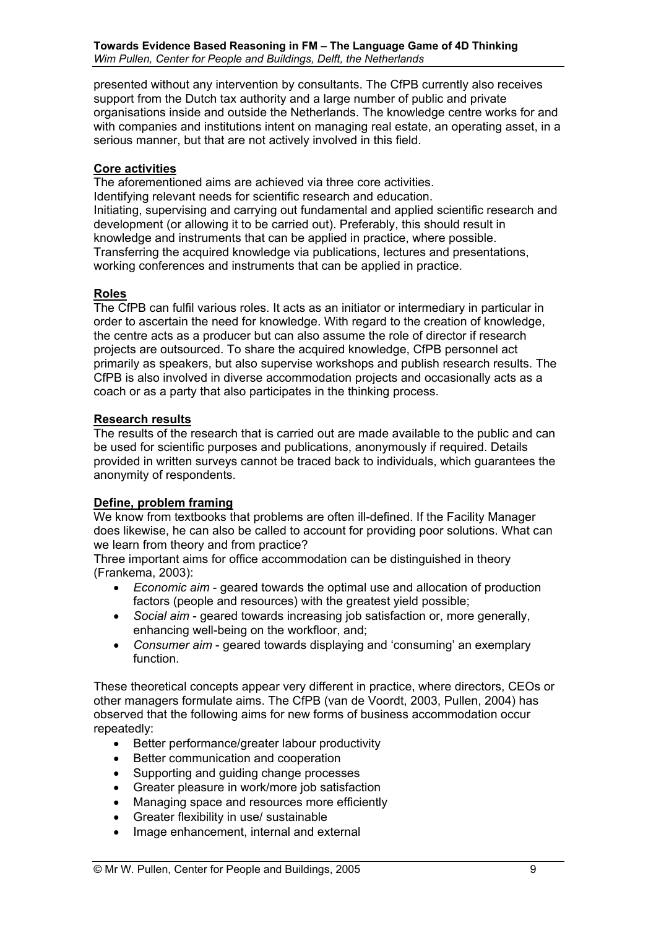presented without any intervention by consultants. The CfPB currently also receives support from the Dutch tax authority and a large number of public and private organisations inside and outside the Netherlands. The knowledge centre works for and with companies and institutions intent on managing real estate, an operating asset, in a serious manner, but that are not actively involved in this field.

## **Core activities**

The aforementioned aims are achieved via three core activities. Identifying relevant needs for scientific research and education. Initiating, supervising and carrying out fundamental and applied scientific research and development (or allowing it to be carried out). Preferably, this should result in knowledge and instruments that can be applied in practice, where possible. Transferring the acquired knowledge via publications, lectures and presentations, working conferences and instruments that can be applied in practice.

#### **Roles**

The CfPB can fulfil various roles. It acts as an initiator or intermediary in particular in order to ascertain the need for knowledge. With regard to the creation of knowledge, the centre acts as a producer but can also assume the role of director if research projects are outsourced. To share the acquired knowledge, CfPB personnel act primarily as speakers, but also supervise workshops and publish research results. The CfPB is also involved in diverse accommodation projects and occasionally acts as a coach or as a party that also participates in the thinking process.

#### **Research results**

The results of the research that is carried out are made available to the public and can be used for scientific purposes and publications, anonymously if required. Details provided in written surveys cannot be traced back to individuals, which guarantees the anonymity of respondents.

# **Define, problem framing**

We know from textbooks that problems are often ill-defined. If the Facility Manager does likewise, he can also be called to account for providing poor solutions. What can we learn from theory and from practice?

Three important aims for office accommodation can be distinguished in theory (Frankema, 2003):

- *Economic aim* geared towards the optimal use and allocation of production factors (people and resources) with the greatest yield possible;
- *Social aim* geared towards increasing job satisfaction or, more generally, enhancing well-being on the workfloor, and;
- *Consumer aim* geared towards displaying and 'consuming' an exemplary function.

These theoretical concepts appear very different in practice, where directors, CEOs or other managers formulate aims. The CfPB (van de Voordt, 2003, Pullen, 2004) has observed that the following aims for new forms of business accommodation occur repeatedly:

- Better performance/greater labour productivity
- Better communication and cooperation
- Supporting and guiding change processes
- Greater pleasure in work/more job satisfaction
- Managing space and resources more efficiently
- Greater flexibility in use/ sustainable
- Image enhancement, internal and external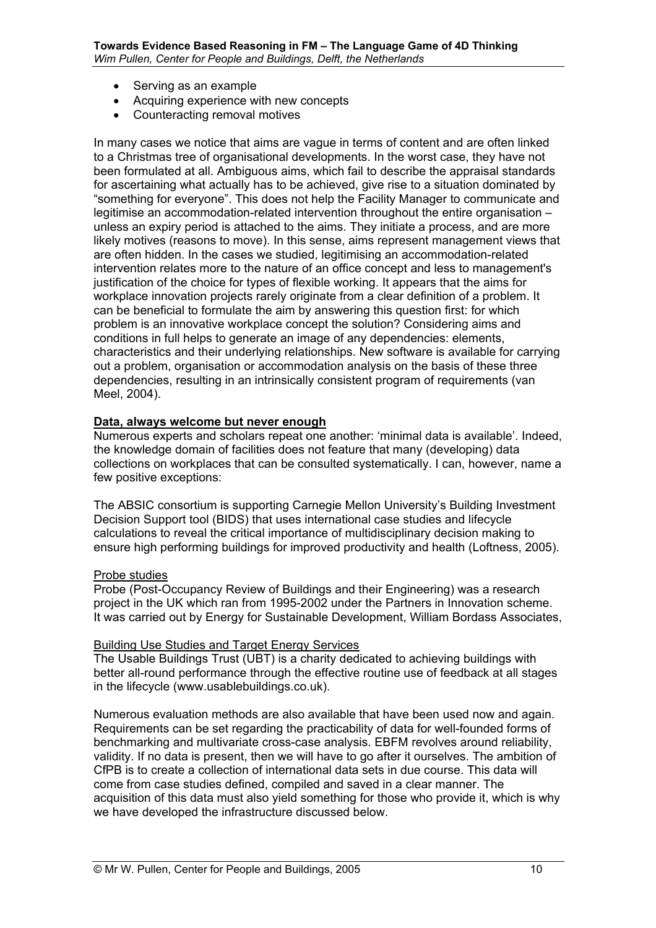- Serving as an example
- Acquiring experience with new concepts
- Counteracting removal motives

In many cases we notice that aims are vague in terms of content and are often linked to a Christmas tree of organisational developments. In the worst case, they have not been formulated at all. Ambiguous aims, which fail to describe the appraisal standards for ascertaining what actually has to be achieved, give rise to a situation dominated by "something for everyone". This does not help the Facility Manager to communicate and legitimise an accommodation-related intervention throughout the entire organisation  $$ unless an expiry period is attached to the aims. They initiate a process, and are more likely motives (reasons to move). In this sense, aims represent management views that are often hidden. In the cases we studied, legitimising an accommodation-related intervention relates more to the nature of an office concept and less to management's justification of the choice for types of flexible working. It appears that the aims for workplace innovation projects rarely originate from a clear definition of a problem. It can be beneficial to formulate the aim by answering this question first: for which problem is an innovative workplace concept the solution? Considering aims and conditions in full helps to generate an image of any dependencies: elements, characteristics and their underlying relationships. New software is available for carrying out a problem, organisation or accommodation analysis on the basis of these three dependencies, resulting in an intrinsically consistent program of requirements (van Meel, 2004).

#### **Data, always welcome but never enough**

Numerous experts and scholars repeat one another: 'minimal data is available'. Indeed. the knowledge domain of facilities does not feature that many (developing) data collections on workplaces that can be consulted systematically. I can, however, name a few positive exceptions:

The ABSIC consortium is supporting Carnegie Mellon University's Building Investment Decision Support tool (BIDS) that uses international case studies and lifecycle calculations to reveal the critical importance of multidisciplinary decision making to ensure high performing buildings for improved productivity and health (Loftness, 2005).

#### Probe studies

Probe (Post-Occupancy Review of Buildings and their Engineering) was a research project in the UK which ran from 1995-2002 under the Partners in Innovation scheme. It was carried out by Energy for Sustainable Development, William Bordass Associates,

#### Building Use Studies and Target Energy Services

The Usable Buildings Trust (UBT) is a charity dedicated to achieving buildings with better all-round performance through the effective routine use of feedback at all stages in the lifecycle (www.usablebuildings.co.uk).

Numerous evaluation methods are also available that have been used now and again. Requirements can be set regarding the practicability of data for well-founded forms of benchmarking and multivariate cross-case analysis. EBFM revolves around reliability, validity. If no data is present, then we will have to go after it ourselves. The ambition of CfPB is to create a collection of international data sets in due course. This data will come from case studies defined, compiled and saved in a clear manner. The acquisition of this data must also yield something for those who provide it, which is why we have developed the infrastructure discussed below.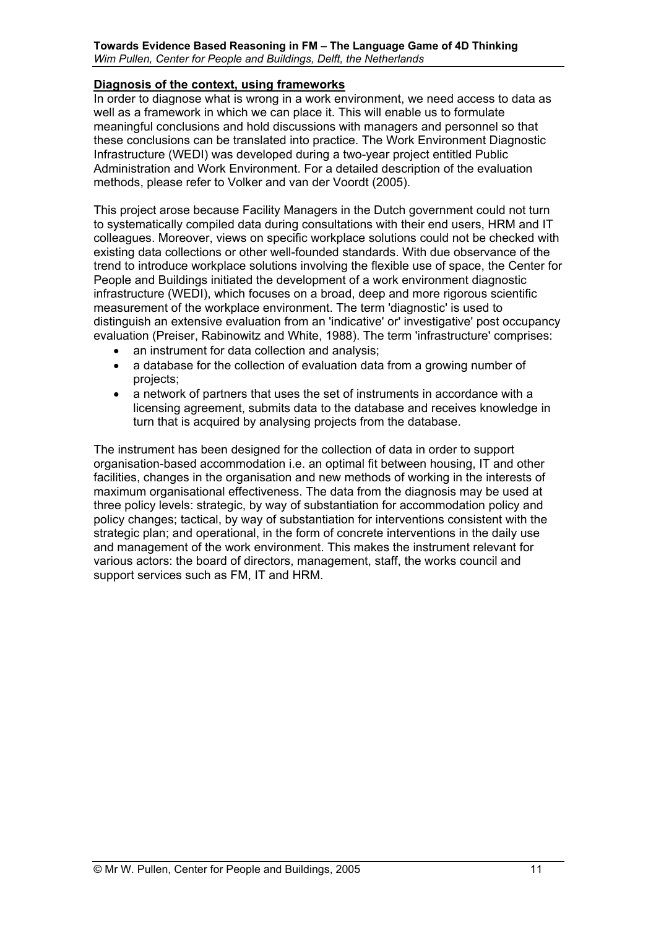## **Diagnosis of the context, using frameworks**

In order to diagnose what is wrong in a work environment, we need access to data as well as a framework in which we can place it. This will enable us to formulate meaningful conclusions and hold discussions with managers and personnel so that these conclusions can be translated into practice. The Work Environment Diagnostic Infrastructure (WEDI) was developed during a two-year project entitled Public Administration and Work Environment. For a detailed description of the evaluation methods, please refer to Volker and van der Voordt (2005).

This project arose because Facility Managers in the Dutch government could not turn to systematically compiled data during consultations with their end users, HRM and IT colleagues. Moreover, views on specific workplace solutions could not be checked with existing data collections or other well-founded standards. With due observance of the trend to introduce workplace solutions involving the flexible use of space, the Center for People and Buildings initiated the development of a work environment diagnostic infrastructure (WEDI), which focuses on a broad, deep and more rigorous scientific measurement of the workplace environment. The term 'diagnostic' is used to distinguish an extensive evaluation from an 'indicative' or' investigative' post occupancy evaluation (Preiser, Rabinowitz and White, 1988). The term 'infrastructure' comprises:

- an instrument for data collection and analysis;
- a database for the collection of evaluation data from a growing number of projects;
- a network of partners that uses the set of instruments in accordance with a licensing agreement, submits data to the database and receives knowledge in turn that is acquired by analysing projects from the database.

The instrument has been designed for the collection of data in order to support organisation-based accommodation i.e. an optimal fit between housing, IT and other facilities, changes in the organisation and new methods of working in the interests of maximum organisational effectiveness. The data from the diagnosis may be used at three policy levels: strategic, by way of substantiation for accommodation policy and policy changes; tactical, by way of substantiation for interventions consistent with the strategic plan; and operational, in the form of concrete interventions in the daily use and management of the work environment. This makes the instrument relevant for various actors: the board of directors, management, staff, the works council and support services such as FM, IT and HRM.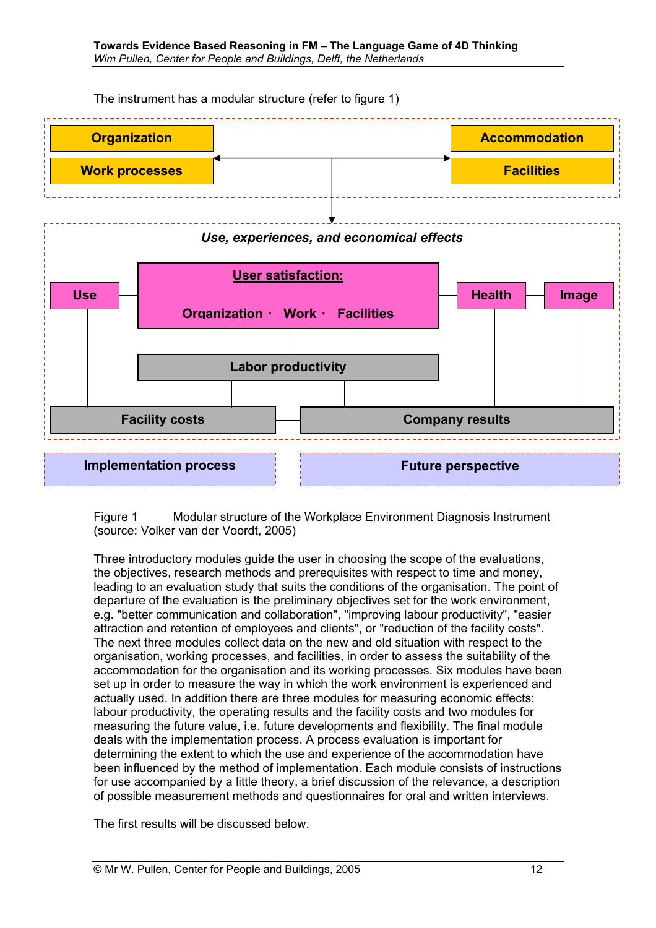The instrument has a modular structure (refer to figure 1)



Figure 1 Modular structure of the Workplace Environment Diagnosis Instrument (source: Volker van der Voordt, 2005)

Three introductory modules guide the user in choosing the scope of the evaluations, the objectives, research methods and prerequisites with respect to time and money, leading to an evaluation study that suits the conditions of the organisation. The point of departure of the evaluation is the preliminary objectives set for the work environment, e.g. "better communication and collaboration", "improving labour productivity", "easier attraction and retention of employees and clients", or "reduction of the facility costs". The next three modules collect data on the new and old situation with respect to the organisation, working processes, and facilities, in order to assess the suitability of the accommodation for the organisation and its working processes. Six modules have been set up in order to measure the way in which the work environment is experienced and actually used. In addition there are three modules for measuring economic effects: labour productivity, the operating results and the facility costs and two modules for measuring the future value, i.e. future developments and flexibility. The final module deals with the implementation process. A process evaluation is important for determining the extent to which the use and experience of the accommodation have been influenced by the method of implementation. Each module consists of instructions for use accompanied by a little theory, a brief discussion of the relevance, a description of possible measurement methods and questionnaires for oral and written interviews.

The first results will be discussed below.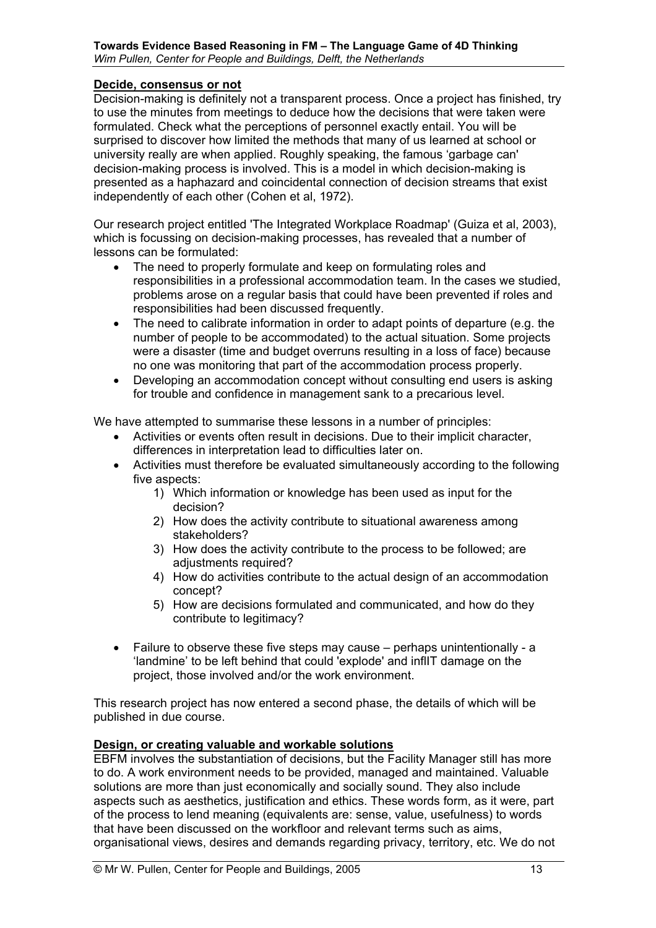#### **Decide, consensus or not**

Decision-making is definitely not a transparent process. Once a project has finished, try to use the minutes from meetings to deduce how the decisions that were taken were formulated. Check what the perceptions of personnel exactly entail. You will be surprised to discover how limited the methods that many of us learned at school or university really are when applied. Roughly speaking, the famous 'garbage can' decision-making process is involved. This is a model in which decision-making is presented as a haphazard and coincidental connection of decision streams that exist independently of each other (Cohen et al, 1972).

Our research project entitled 'The Integrated Workplace Roadmap' (Guiza et al, 2003), which is focussing on decision-making processes, has revealed that a number of lessons can be formulated:

- The need to properly formulate and keep on formulating roles and responsibilities in a professional accommodation team. In the cases we studied, problems arose on a regular basis that could have been prevented if roles and responsibilities had been discussed frequently.
- The need to calibrate information in order to adapt points of departure (e.g. the number of people to be accommodated) to the actual situation. Some projects were a disaster (time and budget overruns resulting in a loss of face) because no one was monitoring that part of the accommodation process properly.
- Developing an accommodation concept without consulting end users is asking for trouble and confidence in management sank to a precarious level.

We have attempted to summarise these lessons in a number of principles:

- Activities or events often result in decisions. Due to their implicit character, differences in interpretation lead to difficulties later on.
- Activities must therefore be evaluated simultaneously according to the following five aspects:
	- 1) Which information or knowledge has been used as input for the decision?
	- 2) How does the activity contribute to situational awareness among stakeholders?
	- 3) How does the activity contribute to the process to be followed; are adiustments required?
	- 4) How do activities contribute to the actual design of an accommodation concept?
	- 5) How are decisions formulated and communicated, and how do they contribute to legitimacy?
- Failure to observe these five steps may cause  $-$  perhaps unintentionally  $-$  a 'landmine' to be left behind that could 'explode' and inflIT damage on the project, those involved and/or the work environment.

This research project has now entered a second phase, the details of which will be published in due course.

#### **Design, or creating valuable and workable solutions**

EBFM involves the substantiation of decisions, but the Facility Manager still has more to do. A work environment needs to be provided, managed and maintained. Valuable solutions are more than just economically and socially sound. They also include aspects such as aesthetics, justification and ethics. These words form, as it were, part of the process to lend meaning (equivalents are: sense, value, usefulness) to words that have been discussed on the workfloor and relevant terms such as aims, organisational views, desires and demands regarding privacy, territory, etc. We do not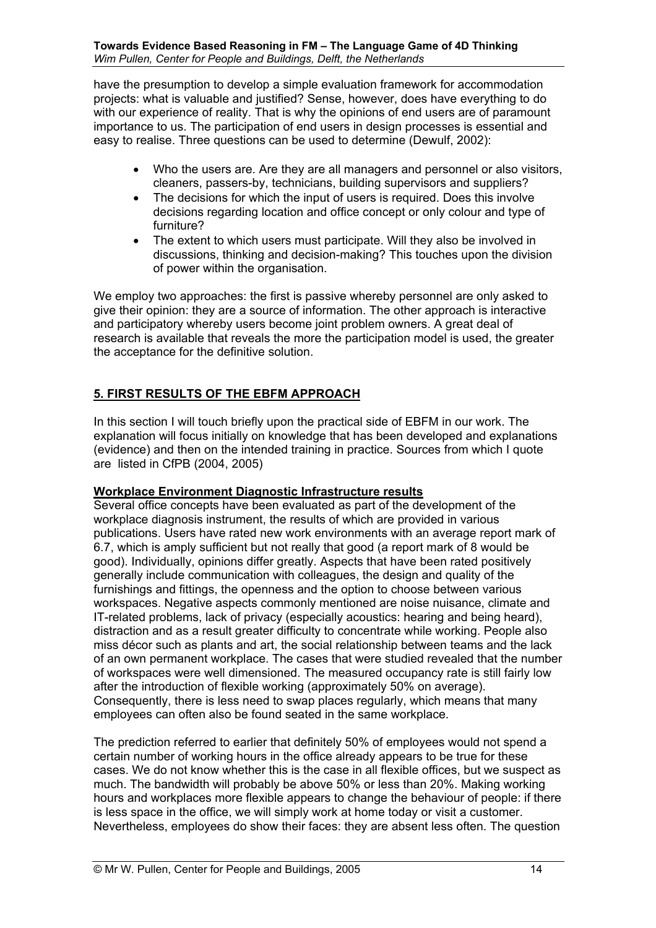have the presumption to develop a simple evaluation framework for accommodation projects: what is valuable and justified? Sense, however, does have everything to do with our experience of reality. That is why the opinions of end users are of paramount importance to us. The participation of end users in design processes is essential and easy to realise. Three questions can be used to determine (Dewulf, 2002):

- Who the users are. Are they are all managers and personnel or also visitors, cleaners, passers-by, technicians, building supervisors and suppliers?
- The decisions for which the input of users is required. Does this involve decisions regarding location and office concept or only colour and type of furniture?
- The extent to which users must participate. Will they also be involved in discussions, thinking and decision-making? This touches upon the division of power within the organisation.

We employ two approaches: the first is passive whereby personnel are only asked to give their opinion: they are a source of information. The other approach is interactive and participatory whereby users become joint problem owners. A great deal of research is available that reveals the more the participation model is used, the greater the acceptance for the definitive solution.

# **5. FIRST RESULTS OF THE EBFM APPROACH**

In this section I will touch briefly upon the practical side of EBFM in our work. The explanation will focus initially on knowledge that has been developed and explanations (evidence) and then on the intended training in practice. Sources from which I quote are listed in CfPB (2004, 2005)

#### **Workplace Environment Diagnostic Infrastructure results**

Several office concepts have been evaluated as part of the development of the workplace diagnosis instrument, the results of which are provided in various publications. Users have rated new work environments with an average report mark of 6.7, which is amply sufficient but not really that good (a report mark of 8 would be good). Individually, opinions differ greatly. Aspects that have been rated positively generally include communication with colleagues, the design and quality of the furnishings and fittings, the openness and the option to choose between various workspaces. Negative aspects commonly mentioned are noise nuisance, climate and IT-related problems, lack of privacy (especially acoustics: hearing and being heard), distraction and as a result greater difficulty to concentrate while working. People also miss décor such as plants and art, the social relationship between teams and the lack of an own permanent workplace. The cases that were studied revealed that the number of workspaces were well dimensioned. The measured occupancy rate is still fairly low after the introduction of flexible working (approximately 50% on average). Consequently, there is less need to swap places regularly, which means that many employees can often also be found seated in the same workplace.

The prediction referred to earlier that definitely 50% of employees would not spend a certain number of working hours in the office already appears to be true for these cases. We do not know whether this is the case in all flexible offices, but we suspect as much. The bandwidth will probably be above 50% or less than 20%. Making working hours and workplaces more flexible appears to change the behaviour of people: if there is less space in the office, we will simply work at home today or visit a customer. Nevertheless, employees do show their faces: they are absent less often. The question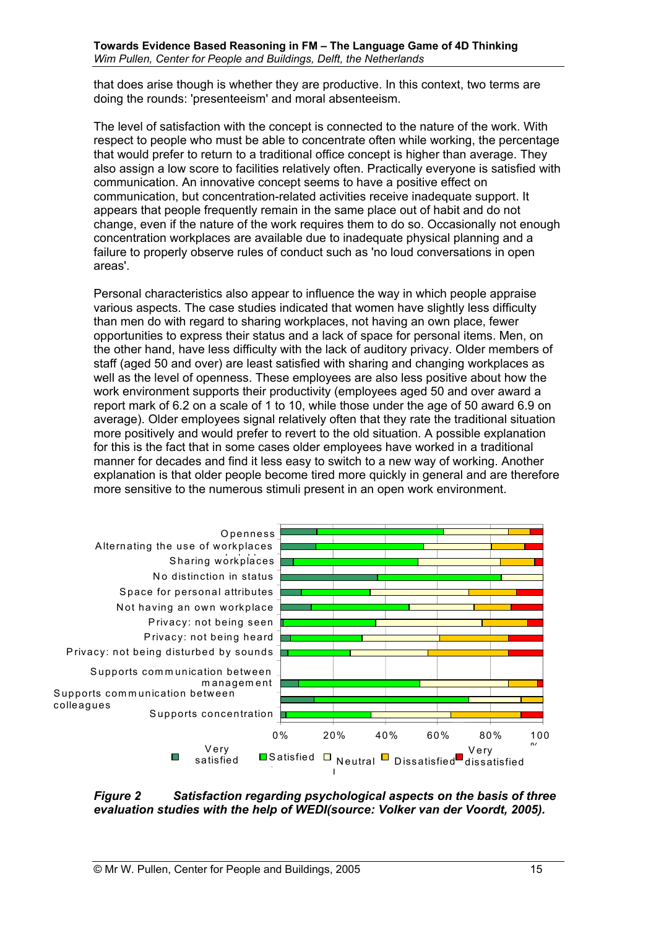that does arise though is whether they are productive. In this context, two terms are doing the rounds: 'presenteeism' and moral absenteeism.

The level of satisfaction with the concept is connected to the nature of the work. With respect to people who must be able to concentrate often while working, the percentage that would prefer to return to a traditional office concept is higher than average. They also assign a low score to facilities relatively often. Practically everyone is satisfied with communication. An innovative concept seems to have a positive effect on communication, but concentration-related activities receive inadequate support. It appears that people frequently remain in the same place out of habit and do not change, even if the nature of the work requires them to do so. Occasionally not enough concentration workplaces are available due to inadequate physical planning and a failure to properly observe rules of conduct such as 'no loud conversations in open areas'.

Personal characteristics also appear to influence the way in which people appraise various aspects. The case studies indicated that women have slightly less difficulty than men do with regard to sharing workplaces, not having an own place, fewer opportunities to express their status and a lack of space for personal items. Men, on the other hand, have less difficulty with the lack of auditory privacy. Older members of staff (aged 50 and over) are least satisfied with sharing and changing workplaces as well as the level of openness. These employees are also less positive about how the work environment supports their productivity (employees aged 50 and over award a report mark of 6.2 on a scale of 1 to 10, while those under the age of 50 award 6.9 on average). Older employees signal relatively often that they rate the traditional situation more positively and would prefer to revert to the old situation. A possible explanation for this is the fact that in some cases older employees have worked in a traditional manner for decades and find it less easy to switch to a new way of working. Another explanation is that older people become tired more quickly in general and are therefore more sensitive to the numerous stimuli present in an open work environment.



#### *Figure 2 Satisfaction regarding psychological aspects on the basis of three evaluation studies with the help of WEDI(source: Volker van der Voordt, 2005).*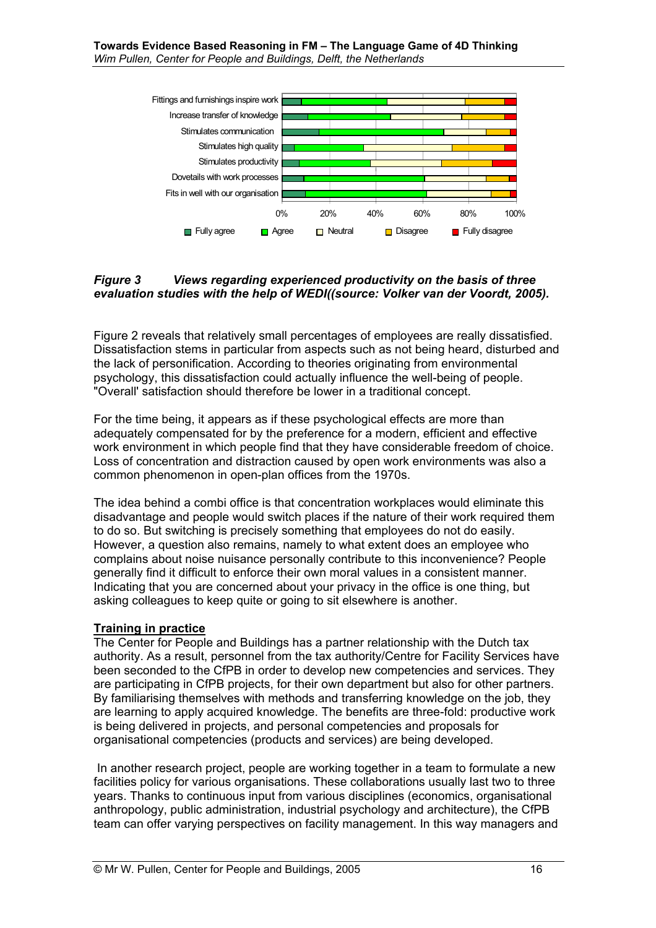

## *Figure 3 Views regarding experienced productivity on the basis of three evaluation studies with the help of WEDI((source: Volker van der Voordt, 2005).*

Figure 2 reveals that relatively small percentages of employees are really dissatisfied. Dissatisfaction stems in particular from aspects such as not being heard, disturbed and the lack of personification. According to theories originating from environmental psychology, this dissatisfaction could actually influence the well-being of people. "Overall' satisfaction should therefore be lower in a traditional concept.

For the time being, it appears as if these psychological effects are more than adequately compensated for by the preference for a modern, efficient and effective work environment in which people find that they have considerable freedom of choice. Loss of concentration and distraction caused by open work environments was also a common phenomenon in open-plan offices from the 1970s.

The idea behind a combi office is that concentration workplaces would eliminate this disadvantage and people would switch places if the nature of their work required them to do so. But switching is precisely something that employees do not do easily. However, a question also remains, namely to what extent does an employee who complains about noise nuisance personally contribute to this inconvenience? People generally find it difficult to enforce their own moral values in a consistent manner. Indicating that you are concerned about your privacy in the office is one thing, but asking colleagues to keep quite or going to sit elsewhere is another.

#### **Training in practice**

The Center for People and Buildings has a partner relationship with the Dutch tax authority. As a result, personnel from the tax authority/Centre for Facility Services have been seconded to the CfPB in order to develop new competencies and services. They are participating in CfPB projects, for their own department but also for other partners. By familiarising themselves with methods and transferring knowledge on the job, they are learning to apply acquired knowledge. The benefits are three-fold: productive work is being delivered in projects, and personal competencies and proposals for organisational competencies (products and services) are being developed.

 In another research project, people are working together in a team to formulate a new facilities policy for various organisations. These collaborations usually last two to three years. Thanks to continuous input from various disciplines (economics, organisational anthropology, public administration, industrial psychology and architecture), the CfPB team can offer varying perspectives on facility management. In this way managers and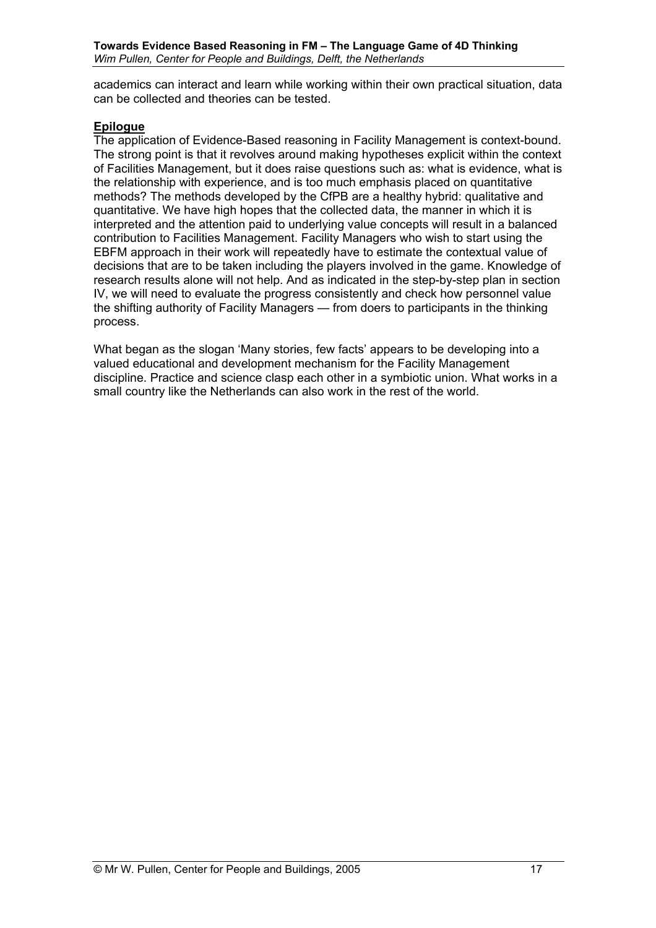academics can interact and learn while working within their own practical situation, data can be collected and theories can be tested.

## **Epilogue**

The application of Evidence-Based reasoning in Facility Management is context-bound. The strong point is that it revolves around making hypotheses explicit within the context of Facilities Management, but it does raise questions such as: what is evidence, what is the relationship with experience, and is too much emphasis placed on quantitative methods? The methods developed by the CfPB are a healthy hybrid: qualitative and quantitative. We have high hopes that the collected data, the manner in which it is interpreted and the attention paid to underlying value concepts will result in a balanced contribution to Facilities Management. Facility Managers who wish to start using the EBFM approach in their work will repeatedly have to estimate the contextual value of decisions that are to be taken including the players involved in the game. Knowledge of research results alone will not help. And as indicated in the step-by-step plan in section IV, we will need to evaluate the progress consistently and check how personnel value the shifting authority of Facility Managers – from doers to participants in the thinking process.

What began as the slogan 'Many stories, few facts' appears to be developing into a valued educational and development mechanism for the Facility Management discipline. Practice and science clasp each other in a symbiotic union. What works in a small country like the Netherlands can also work in the rest of the world.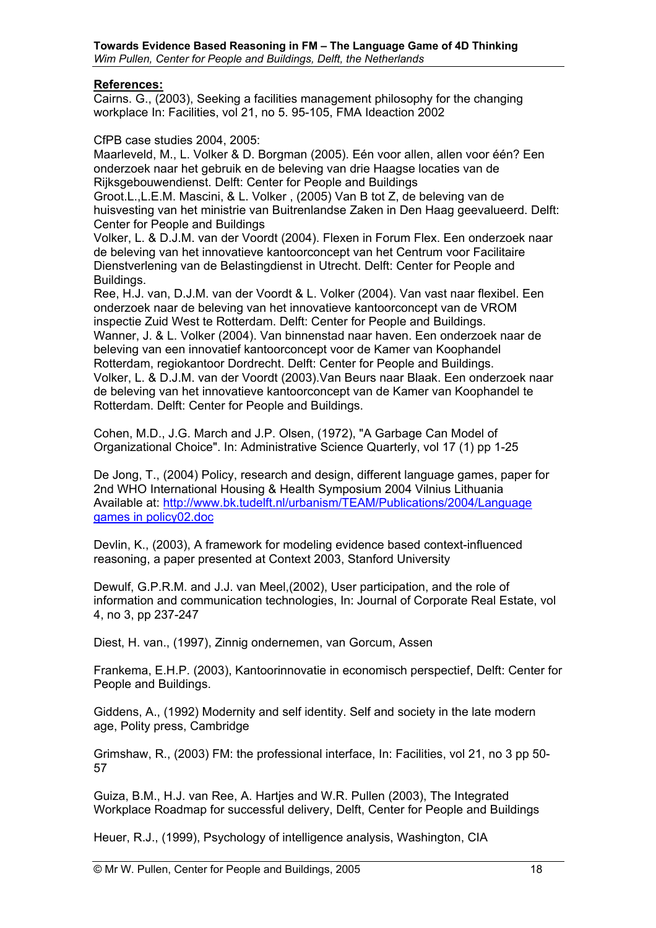#### **References:**

Cairns. G., (2003), Seeking a facilities management philosophy for the changing workplace In: Facilities, vol 21, no 5. 95-105, FMA Ideaction 2002

CfPB case studies 2004, 2005:

Maarleveld, M., L. Volker & D. Borgman (2005). Eén voor allen, allen voor één? Een onderzoek naar het gebruik en de beleving van drie Haagse locaties van de Rijksgebouwendienst. Delft: Center for People and Buildings

Groot.L.,L.E.M. Mascini, & L. Volker , (2005) Van B tot Z, de beleving van de huisvesting van het ministrie van Buitrenlandse Zaken in Den Haag geevalueerd. Delft: Center for People and Buildings

Volker, L. & D.J.M. van der Voordt (2004). Flexen in Forum Flex. Een onderzoek naar de beleving van het innovatieve kantoorconcept van het Centrum voor Facilitaire Dienstverlening van de Belastingdienst in Utrecht. Delft: Center for People and Buildings.

Ree, H.J. van, D.J.M. van der Voordt & L. Volker (2004). Van vast naar flexibel. Een onderzoek naar de beleving van het innovatieve kantoorconcept van de VROM inspectie Zuid West te Rotterdam. Delft: Center for People and Buildings. Wanner, J. & L. Volker (2004). Van binnenstad naar haven. Een onderzoek naar de beleving van een innovatief kantoorconcept voor de Kamer van Koophandel Rotterdam, regiokantoor Dordrecht. Delft: Center for People and Buildings. Volker, L. & D.J.M. van der Voordt (2003).Van Beurs naar Blaak. Een onderzoek naar de beleving van het innovatieve kantoorconcept van de Kamer van Koophandel te Rotterdam. Delft: Center for People and Buildings.

Cohen, M.D., J.G. March and J.P. Olsen, (1972), "A Garbage Can Model of Organizational Choice". In: Administrative Science Quarterly, vol 17 (1) pp 1-25

De Jong, T., (2004) Policy, research and design, different language games, paper for 2nd WHO International Housing & Health Symposium 2004 Vilnius Lithuania Available at: http://www.bk.tudelft.nl/urbanism/TEAM/Publications/2004/Language games in policy02.doc

Devlin, K., (2003), A framework for modeling evidence based context-influenced reasoning, a paper presented at Context 2003, Stanford University

Dewulf, G.P.R.M. and J.J. van Meel,(2002), User participation, and the role of information and communication technologies, In: Journal of Corporate Real Estate, vol 4, no 3, pp 237-247

Diest, H. van., (1997), Zinnig ondernemen, van Gorcum, Assen

Frankema, E.H.P. (2003), Kantoorinnovatie in economisch perspectief, Delft: Center for People and Buildings.

Giddens, A., (1992) Modernity and self identity. Self and society in the late modern age, Polity press, Cambridge

Grimshaw, R., (2003) FM: the professional interface, In: Facilities, vol 21, no 3 pp 50- 57

Guiza, B.M., H.J. van Ree, A. Hartjes and W.R. Pullen (2003), The Integrated Workplace Roadmap for successful delivery, Delft, Center for People and Buildings

Heuer, R.J., (1999), Psychology of intelligence analysis, Washington, CIA